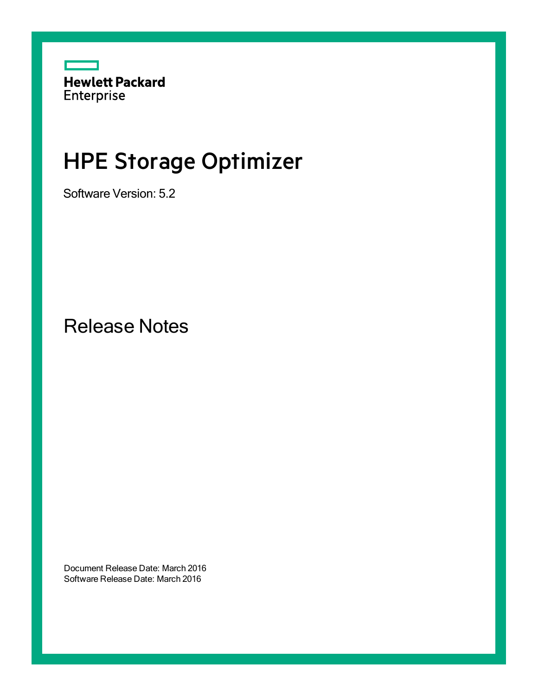

# HPE Storage Optimizer

Software Version: 5.2

Release Notes

Document Release Date: March 2016 Software Release Date: March 2016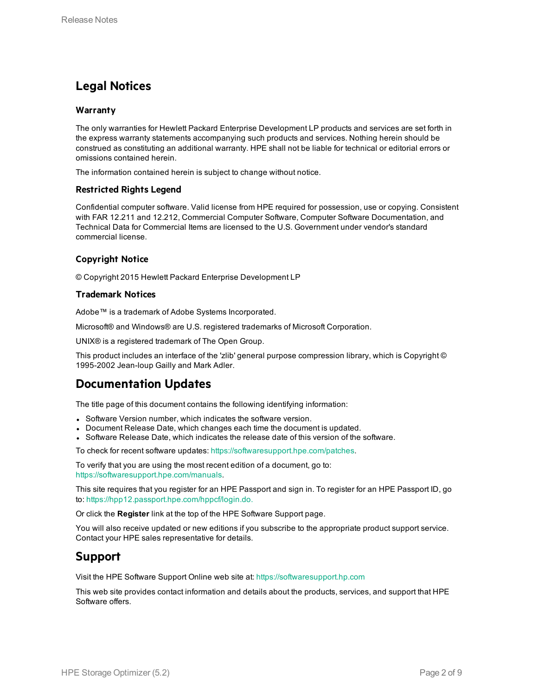## **Legal Notices**

### **Warranty**

The only warranties for Hewlett Packard Enterprise Development LP products and services are set forth in the express warranty statements accompanying such products and services. Nothing herein should be construed as constituting an additional warranty. HPE shall not be liable for technical or editorial errors or omissions contained herein.

The information contained herein is subject to change without notice.

#### **Restricted Rights Legend**

Confidential computer software. Valid license from HPE required for possession, use or copying. Consistent with FAR 12.211 and 12.212, Commercial Computer Software, Computer Software Documentation, and Technical Data for Commercial Items are licensed to the U.S. Government under vendor's standard commercial license.

## **Copyright Notice**

© Copyright 2015 Hewlett Packard Enterprise Development LP

#### **Trademark Notices**

Adobe™ is a trademark of Adobe Systems Incorporated.

Microsoft® and Windows® are U.S. registered trademarks of Microsoft Corporation.

UNIX® is a registered trademark of The Open Group.

This product includes an interface of the 'zlib' general purpose compression library, which is Copyright © 1995-2002 Jean-loup Gailly and Mark Adler.

## **Documentation Updates**

The title page of this document contains the following identifying information:

- Software Version number, which indicates the software version.
- Document Release Date, which changes each time the document is updated.
- Software Release Date, which indicates the release date of this version of the software.

To check for recent software updates: [https://softwaresupport.hpe.com/patches.](https://softwaresupport.hpe.com/patches)

To verify that you are using the most recent edition of a document, go to: [https://softwaresupport.hpe.com/manuals.](https://softwaresupport.hpe.com/manuals)

This site requires that you register for an HPE Passport and sign in. To register for an HPE Passport ID, go to: [https://hpp12.passport.hpe.com/hppcf/login.do.](https://hpp12.passport.hpe.com/hppcf/login.do)

Or click the **Register** link at the top of the HPE Software Support page.

You will also receive updated or new editions if you subscribe to the appropriate product support service. Contact your HPE sales representative for details.

## **Support**

Visit the HPE Software Support Online web site at: [https://softwaresupport.hp.com](https://softwaresupport.hp.com/)

This web site provides contact information and details about the products, services, and support that HPE Software offers.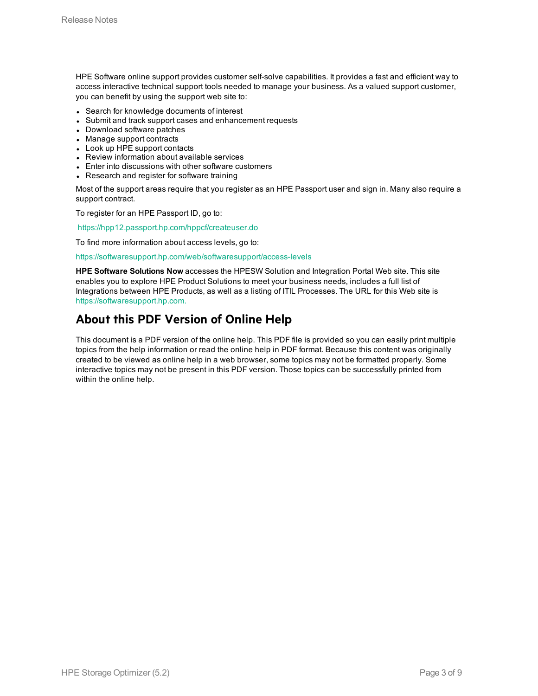HPE Software online support provides customer self-solve capabilities. It provides a fast and efficient way to access interactive technical support tools needed to manage your business. As a valued support customer, you can benefit by using the support web site to:

- Search for knowledge documents of interest
- Submit and track support cases and enhancement requests
- Download software patches
- Manage support contracts
- Look up HPE support contacts
- Review information about available services
- Enter into discussions with other software customers
- Research and register for software training

Most of the support areas require that you register as an HPE Passport user and sign in. Many also require a support contract.

To register for an HPE Passport ID, go to:

<https://hpp12.passport.hp.com/hppcf/createuser.do>

To find more information about access levels, go to:

#### <https://softwaresupport.hp.com/web/softwaresupport/access-levels>

**HPE Software Solutions Now** accesses the HPESW Solution and Integration Portal Web site. This site enables you to explore HPE Product Solutions to meet your business needs, includes a full list of Integrations between HPE Products, as well as a listing of ITIL Processes. The URL for this Web site is [https://softwaresupport.hp.com.](https://softwaresupport.hp.com/)

## **About this PDF Version of Online Help**

This document is a PDF version of the online help. This PDF file is provided so you can easily print multiple topics from the help information or read the online help in PDF format. Because this content was originally created to be viewed as online help in a web browser, some topics may not be formatted properly. Some interactive topics may not be present in this PDF version. Those topics can be successfully printed from within the online help.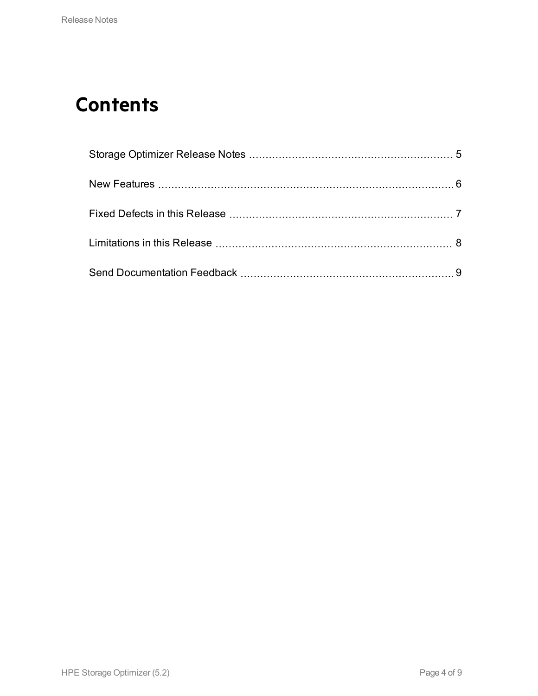# **Contents**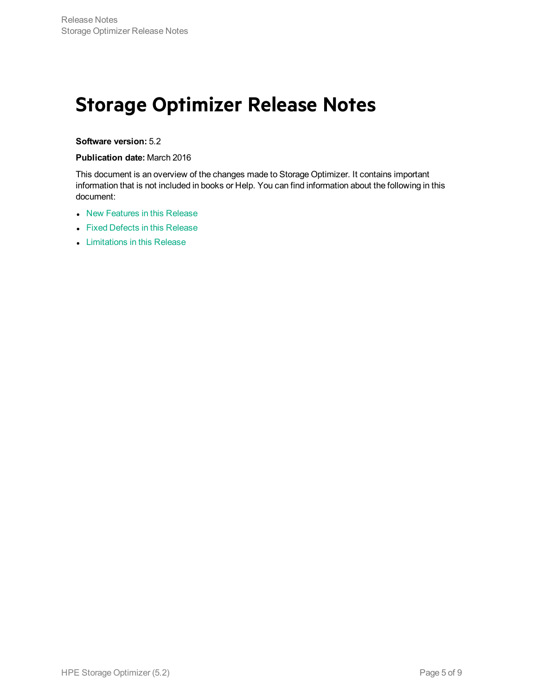## <span id="page-4-0"></span>**Storage Optimizer Release Notes**

### **Software version:** 5.2

### **Publication date:** March 2016

This document is an overview of the changes made to Storage Optimizer. It contains important information that is not included in books or Help. You can find information about the following in this document:

- New [Features](#page-5-0) in this Release
- Fixed Defects in this [Release](#page-6-0)
- [Limitations](#page-7-0) in this Release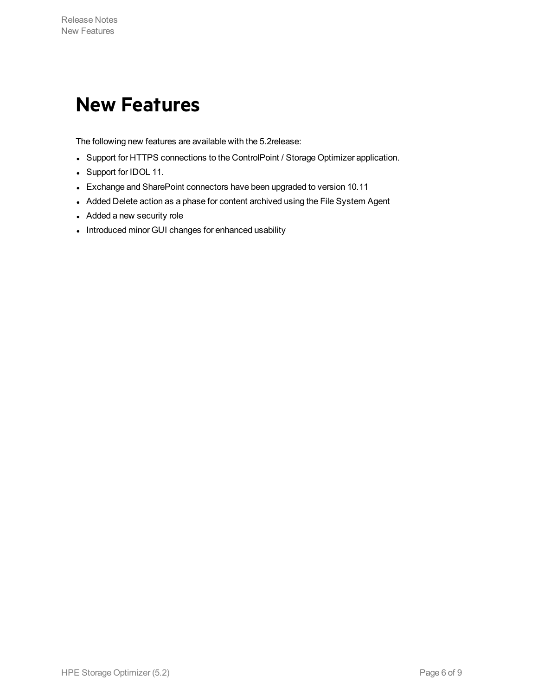## <span id="page-5-0"></span>**New Features**

The following new features are available with the 5.2release:

- Support for HTTPS connections to the ControlPoint / Storage Optimizer application.
- Support for IDOL 11.
- Exchange and SharePoint connectors have been upgraded to version 10.11
- Added Delete action as a phase for content archived using the File System Agent
- Added a new security role
- Introduced minor GUI changes for enhanced usability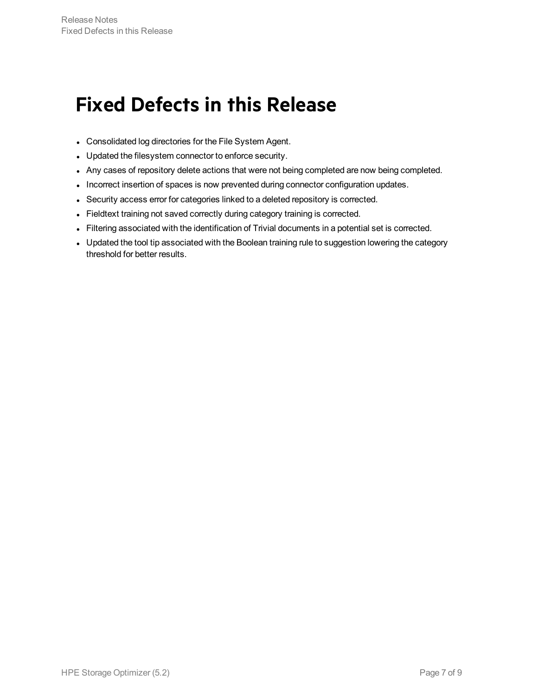# <span id="page-6-0"></span>**Fixed Defects in this Release**

- Consolidated log directories for the File System Agent.
- Updated the filesystem connector to enforce security.
- Any cases of repository delete actions that were not being completed are now being completed.
- Incorrect insertion of spaces is now prevented during connector configuration updates.
- Security access error for categories linked to a deleted repository is corrected.
- Fieldtext training not saved correctly during category training is corrected.
- Filtering associated with the identification of Trivial documents in a potential set is corrected.
- Updated the tool tip associated with the Boolean training rule to suggestion lowering the category threshold for better results.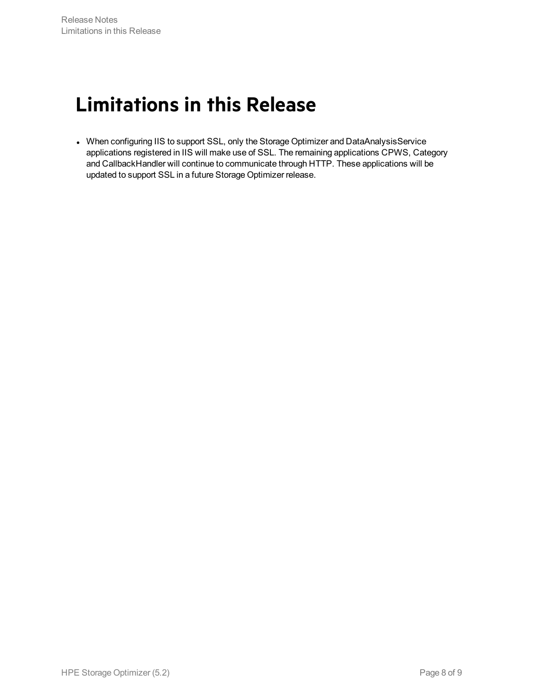# <span id="page-7-0"></span>**Limitations in this Release**

• When configuring IIS to support SSL, only the Storage Optimizer and DataAnalysisService applications registered in IIS will make use of SSL. The remaining applications CPWS, Category and CallbackHandler will continue to communicate through HTTP. These applications will be updated to support SSL in a future Storage Optimizer release.